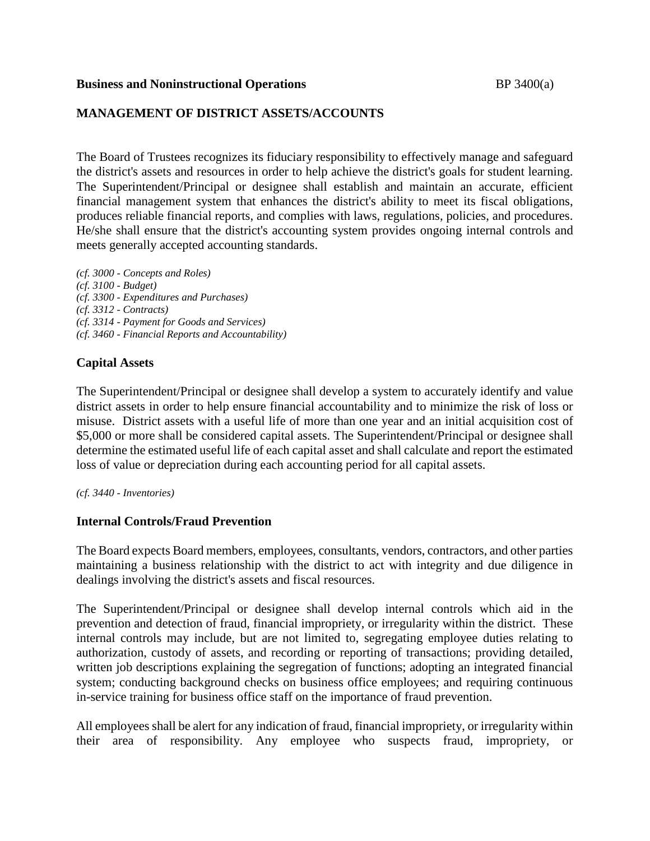### **Business and Noninstructional Operations BP** 3400(a)

# **MANAGEMENT OF DISTRICT ASSETS/ACCOUNTS**

The Board of Trustees recognizes its fiduciary responsibility to effectively manage and safeguard the district's assets and resources in order to help achieve the district's goals for student learning. The Superintendent/Principal or designee shall establish and maintain an accurate, efficient financial management system that enhances the district's ability to meet its fiscal obligations, produces reliable financial reports, and complies with laws, regulations, policies, and procedures. He/she shall ensure that the district's accounting system provides ongoing internal controls and meets generally accepted accounting standards.

*(cf. 3000 - Concepts and Roles) (cf. 3100 - Budget) (cf. 3300 - Expenditures and Purchases) (cf. 3312 - Contracts) (cf. 3314 - Payment for Goods and Services) (cf. 3460 - Financial Reports and Accountability)*

# **Capital Assets**

The Superintendent/Principal or designee shall develop a system to accurately identify and value district assets in order to help ensure financial accountability and to minimize the risk of loss or misuse. District assets with a useful life of more than one year and an initial acquisition cost of \$5,000 or more shall be considered capital assets. The Superintendent/Principal or designee shall determine the estimated useful life of each capital asset and shall calculate and report the estimated loss of value or depreciation during each accounting period for all capital assets.

### *(cf. 3440 - Inventories)*

### **Internal Controls/Fraud Prevention**

The Board expects Board members, employees, consultants, vendors, contractors, and other parties maintaining a business relationship with the district to act with integrity and due diligence in dealings involving the district's assets and fiscal resources.

The Superintendent/Principal or designee shall develop internal controls which aid in the prevention and detection of fraud, financial impropriety, or irregularity within the district. These internal controls may include, but are not limited to, segregating employee duties relating to authorization, custody of assets, and recording or reporting of transactions; providing detailed, written job descriptions explaining the segregation of functions; adopting an integrated financial system; conducting background checks on business office employees; and requiring continuous in-service training for business office staff on the importance of fraud prevention.

All employees shall be alert for any indication of fraud, financial impropriety, or irregularity within their area of responsibility. Any employee who suspects fraud, impropriety, or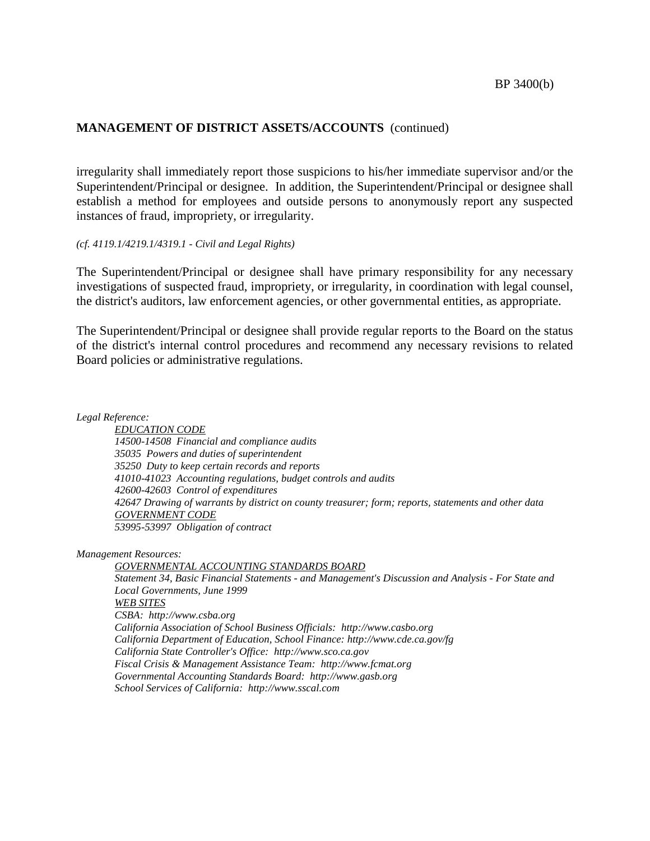# **MANAGEMENT OF DISTRICT ASSETS/ACCOUNTS** (continued)

irregularity shall immediately report those suspicions to his/her immediate supervisor and/or the Superintendent/Principal or designee. In addition, the Superintendent/Principal or designee shall establish a method for employees and outside persons to anonymously report any suspected instances of fraud, impropriety, or irregularity.

#### *(cf. 4119.1/4219.1/4319.1 - Civil and Legal Rights)*

The Superintendent/Principal or designee shall have primary responsibility for any necessary investigations of suspected fraud, impropriety, or irregularity, in coordination with legal counsel, the district's auditors, law enforcement agencies, or other governmental entities, as appropriate.

The Superintendent/Principal or designee shall provide regular reports to the Board on the status of the district's internal control procedures and recommend any necessary revisions to related Board policies or administrative regulations.

*Legal Reference:*

*EDUCATION CODE 14500-14508 Financial and compliance audits 35035 Powers and duties of superintendent 35250 Duty to keep certain records and reports 41010-41023 Accounting regulations, budget controls and audits 42600-42603 Control of expenditures 42647 Drawing of warrants by district on county treasurer; form; reports, statements and other data GOVERNMENT CODE 53995-53997 Obligation of contract*

*Management Resources:*

*GOVERNMENTAL ACCOUNTING STANDARDS BOARD Statement 34, Basic Financial Statements - and Management's Discussion and Analysis - For State and Local Governments, June 1999 WEB SITES CSBA: http://www.csba.org California Association of School Business Officials: http://www.casbo.org California Department of Education, School Finance: http://www.cde.ca.gov/fg California State Controller's Office: http://www.sco.ca.gov Fiscal Crisis & Management Assistance Team: http://www.fcmat.org Governmental Accounting Standards Board: http://www.gasb.org School Services of California: http://www.sscal.com*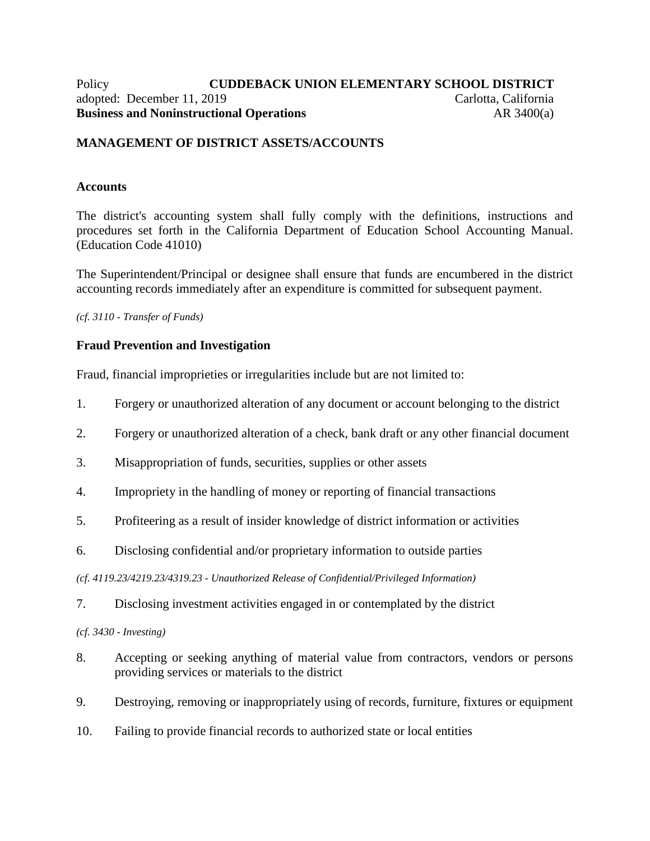### Policy **CUDDEBACK UNION ELEMENTARY SCHOOL DISTRICT** adopted: December 11, 2019 Carlotta, California **Business and Noninstructional Operations** AR 3400(a)

# **MANAGEMENT OF DISTRICT ASSETS/ACCOUNTS**

### **Accounts**

The district's accounting system shall fully comply with the definitions, instructions and procedures set forth in the California Department of Education School Accounting Manual. (Education Code 41010)

The Superintendent/Principal or designee shall ensure that funds are encumbered in the district accounting records immediately after an expenditure is committed for subsequent payment.

*(cf. 3110 - Transfer of Funds)*

### **Fraud Prevention and Investigation**

Fraud, financial improprieties or irregularities include but are not limited to:

- 1. Forgery or unauthorized alteration of any document or account belonging to the district
- 2. Forgery or unauthorized alteration of a check, bank draft or any other financial document
- 3. Misappropriation of funds, securities, supplies or other assets
- 4. Impropriety in the handling of money or reporting of financial transactions
- 5. Profiteering as a result of insider knowledge of district information or activities
- 6. Disclosing confidential and/or proprietary information to outside parties

*(cf. 4119.23/4219.23/4319.23 - Unauthorized Release of Confidential/Privileged Information)*

7. Disclosing investment activities engaged in or contemplated by the district

*(cf. 3430 - Investing)*

- 8. Accepting or seeking anything of material value from contractors, vendors or persons providing services or materials to the district
- 9. Destroying, removing or inappropriately using of records, furniture, fixtures or equipment
- 10. Failing to provide financial records to authorized state or local entities